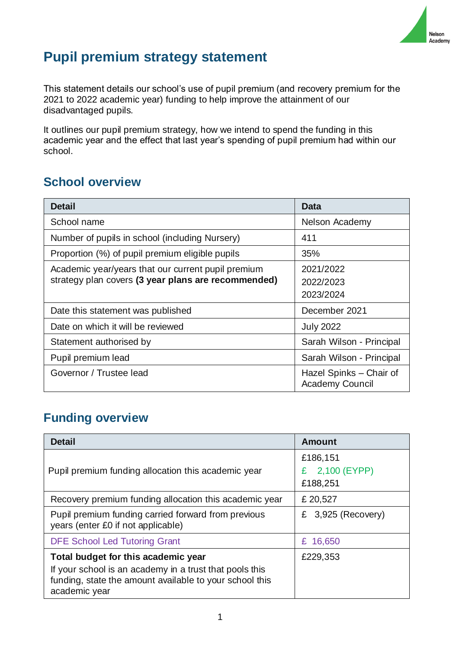

# **Pupil premium strategy statement**

This statement details our school's use of pupil premium (and recovery premium for the 2021 to 2022 academic year) funding to help improve the attainment of our disadvantaged pupils.

It outlines our pupil premium strategy, how we intend to spend the funding in this academic year and the effect that last year's spending of pupil premium had within our school.

# **School overview**

| <b>Detail</b>                                                                                             | Data                                              |
|-----------------------------------------------------------------------------------------------------------|---------------------------------------------------|
| School name                                                                                               | Nelson Academy                                    |
| Number of pupils in school (including Nursery)                                                            | 411                                               |
| Proportion (%) of pupil premium eligible pupils                                                           | 35%                                               |
| Academic year/years that our current pupil premium<br>strategy plan covers (3 year plans are recommended) | 2021/2022<br>2022/2023<br>2023/2024               |
| Date this statement was published                                                                         | December 2021                                     |
| Date on which it will be reviewed                                                                         | <b>July 2022</b>                                  |
| Statement authorised by                                                                                   | Sarah Wilson - Principal                          |
| Pupil premium lead                                                                                        | Sarah Wilson - Principal                          |
| Governor / Trustee lead                                                                                   | Hazel Spinks - Chair of<br><b>Academy Council</b> |

# **Funding overview**

| <b>Detail</b>                                                                                                                       | <b>Amount</b>        |
|-------------------------------------------------------------------------------------------------------------------------------------|----------------------|
|                                                                                                                                     | £186,151             |
| Pupil premium funding allocation this academic year                                                                                 | £ 2,100 (EYPP)       |
|                                                                                                                                     | £188,251             |
| Recovery premium funding allocation this academic year                                                                              | £ 20,527             |
| Pupil premium funding carried forward from previous<br>years (enter £0 if not applicable)                                           | £ $3,925$ (Recovery) |
| <b>DFE School Led Tutoring Grant</b>                                                                                                | £ 16,650             |
| Total budget for this academic year                                                                                                 | £229,353             |
| If your school is an academy in a trust that pools this<br>funding, state the amount available to your school this<br>academic year |                      |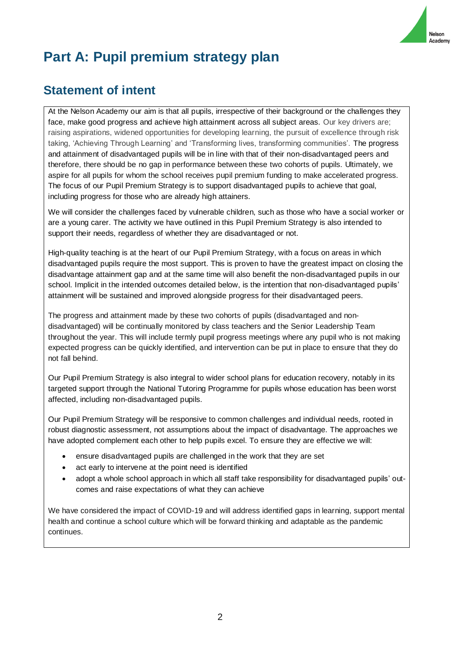

# **Part A: Pupil premium strategy plan**

## **Statement of intent**

At the Nelson Academy our aim is that all pupils, irrespective of their background or the challenges they face, make good progress and achieve high attainment across all subject areas. Our key drivers are; raising aspirations, widened opportunities for developing learning, the pursuit of excellence through risk taking, 'Achieving Through Learning' and 'Transforming lives, transforming communities'. The progress and attainment of disadvantaged pupils will be in line with that of their non-disadvantaged peers and therefore, there should be no gap in performance between these two cohorts of pupils. Ultimately, we aspire for all pupils for whom the school receives pupil premium funding to make accelerated progress. The focus of our Pupil Premium Strategy is to support disadvantaged pupils to achieve that goal, including progress for those who are already high attainers.

We will consider the challenges faced by vulnerable children, such as those who have a social worker or are a young carer. The activity we have outlined in this Pupil Premium Strategy is also intended to support their needs, regardless of whether they are disadvantaged or not.

High-quality teaching is at the heart of our Pupil Premium Strategy, with a focus on areas in which disadvantaged pupils require the most support. This is proven to have the greatest impact on closing the disadvantage attainment gap and at the same time will also benefit the non-disadvantaged pupils in our school. Implicit in the intended outcomes detailed below, is the intention that non-disadvantaged pupils' attainment will be sustained and improved alongside progress for their disadvantaged peers.

The progress and attainment made by these two cohorts of pupils (disadvantaged and nondisadvantaged) will be continually monitored by class teachers and the Senior Leadership Team throughout the year. This will include termly pupil progress meetings where any pupil who is not making expected progress can be quickly identified, and intervention can be put in place to ensure that they do not fall behind.

Our Pupil Premium Strategy is also integral to wider school plans for education recovery, notably in its targeted support through the National Tutoring Programme for pupils whose education has been worst affected, including non-disadvantaged pupils.

Our Pupil Premium Strategy will be responsive to common challenges and individual needs, rooted in robust diagnostic assessment, not assumptions about the impact of disadvantage. The approaches we have adopted complement each other to help pupils excel. To ensure they are effective we will:

- ensure disadvantaged pupils are challenged in the work that they are set
- act early to intervene at the point need is identified
- adopt a whole school approach in which all staff take responsibility for disadvantaged pupils' outcomes and raise expectations of what they can achieve

We have considered the impact of COVID-19 and will address identified gaps in learning, support mental health and continue a school culture which will be forward thinking and adaptable as the pandemic continues.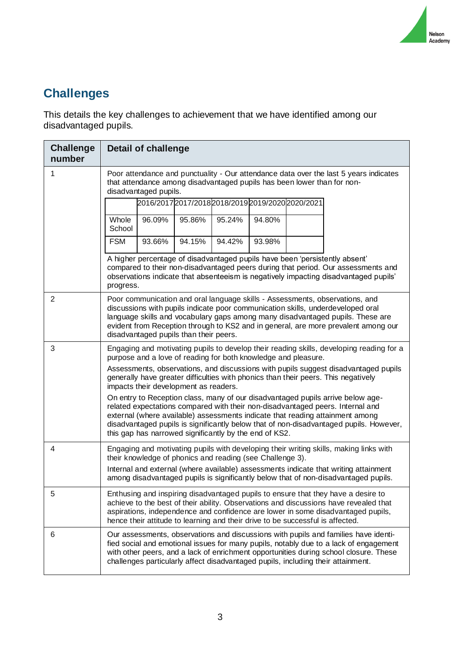

# **Challenges**

This details the key challenges to achievement that we have identified among our disadvantaged pupils.

| <b>Challenge</b><br>number | <b>Detail of challenge</b>                                                                                                                                                                                                                                                                                                                                                                                                                                                                                                                                                                                                                                                                                                                                                                 |  |  |
|----------------------------|--------------------------------------------------------------------------------------------------------------------------------------------------------------------------------------------------------------------------------------------------------------------------------------------------------------------------------------------------------------------------------------------------------------------------------------------------------------------------------------------------------------------------------------------------------------------------------------------------------------------------------------------------------------------------------------------------------------------------------------------------------------------------------------------|--|--|
| 1                          | Poor attendance and punctuality - Our attendance data over the last 5 years indicates<br>that attendance among disadvantaged pupils has been lower than for non-<br>disadvantaged pupils.                                                                                                                                                                                                                                                                                                                                                                                                                                                                                                                                                                                                  |  |  |
|                            | 2016/2017 2017/2018 2018/2019 2019/2020 2020/2021                                                                                                                                                                                                                                                                                                                                                                                                                                                                                                                                                                                                                                                                                                                                          |  |  |
|                            | Whole<br>96.09%<br>95.86%<br>95.24%<br>94.80%<br>School                                                                                                                                                                                                                                                                                                                                                                                                                                                                                                                                                                                                                                                                                                                                    |  |  |
|                            | <b>FSM</b><br>93.66%<br>94.15%<br>94.42%<br>93.98%                                                                                                                                                                                                                                                                                                                                                                                                                                                                                                                                                                                                                                                                                                                                         |  |  |
|                            | A higher percentage of disadvantaged pupils have been 'persistently absent'<br>compared to their non-disadvantaged peers during that period. Our assessments and<br>observations indicate that absenteeism is negatively impacting disadvantaged pupils'<br>progress.                                                                                                                                                                                                                                                                                                                                                                                                                                                                                                                      |  |  |
| 2                          | Poor communication and oral language skills - Assessments, observations, and<br>discussions with pupils indicate poor communication skills, underdeveloped oral<br>language skills and vocabulary gaps among many disadvantaged pupils. These are<br>evident from Reception through to KS2 and in general, are more prevalent among our<br>disadvantaged pupils than their peers.                                                                                                                                                                                                                                                                                                                                                                                                          |  |  |
| 3                          | Engaging and motivating pupils to develop their reading skills, developing reading for a<br>purpose and a love of reading for both knowledge and pleasure.<br>Assessments, observations, and discussions with pupils suggest disadvantaged pupils<br>generally have greater difficulties with phonics than their peers. This negatively<br>impacts their development as readers.<br>On entry to Reception class, many of our disadvantaged pupils arrive below age-<br>related expectations compared with their non-disadvantaged peers. Internal and<br>external (where available) assessments indicate that reading attainment among<br>disadvantaged pupils is significantly below that of non-disadvantaged pupils. However,<br>this gap has narrowed significantly by the end of KS2. |  |  |
| 4                          | Engaging and motivating pupils with developing their writing skills, making links with<br>their knowledge of phonics and reading (see Challenge 3).<br>Internal and external (where available) assessments indicate that writing attainment<br>among disadvantaged pupils is significantly below that of non-disadvantaged pupils.                                                                                                                                                                                                                                                                                                                                                                                                                                                         |  |  |
| 5                          | Enthusing and inspiring disadvantaged pupils to ensure that they have a desire to<br>achieve to the best of their ability. Observations and discussions have revealed that<br>aspirations, independence and confidence are lower in some disadvantaged pupils,<br>hence their attitude to learning and their drive to be successful is affected.                                                                                                                                                                                                                                                                                                                                                                                                                                           |  |  |
| 6                          | Our assessments, observations and discussions with pupils and families have identi-<br>fied social and emotional issues for many pupils, notably due to a lack of engagement<br>with other peers, and a lack of enrichment opportunities during school closure. These<br>challenges particularly affect disadvantaged pupils, including their attainment.                                                                                                                                                                                                                                                                                                                                                                                                                                  |  |  |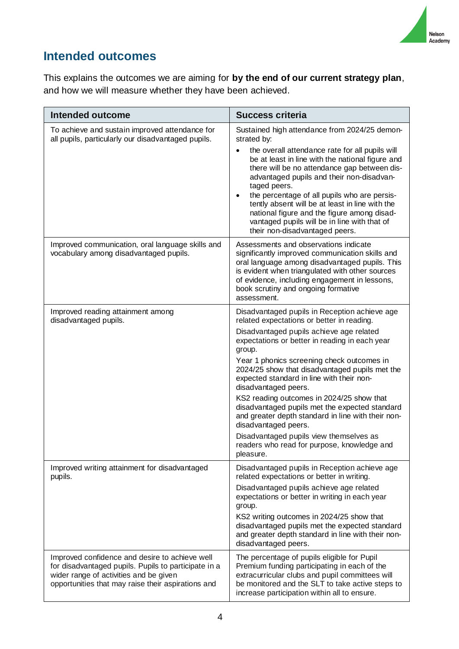

## **Intended outcomes**

This explains the outcomes we are aiming for **by the end of our current strategy plan**, and how we will measure whether they have been achieved.

| <b>Intended outcome</b>                                                                                                                                                                                | <b>Success criteria</b>                                                                                                                                                                                                                                                                                                                                                                                                                                                                                              |
|--------------------------------------------------------------------------------------------------------------------------------------------------------------------------------------------------------|----------------------------------------------------------------------------------------------------------------------------------------------------------------------------------------------------------------------------------------------------------------------------------------------------------------------------------------------------------------------------------------------------------------------------------------------------------------------------------------------------------------------|
| To achieve and sustain improved attendance for<br>all pupils, particularly our disadvantaged pupils.                                                                                                   | Sustained high attendance from 2024/25 demon-<br>strated by:<br>the overall attendance rate for all pupils will<br>be at least in line with the national figure and<br>there will be no attendance gap between dis-<br>advantaged pupils and their non-disadvan-<br>taged peers.<br>the percentage of all pupils who are persis-<br>tently absent will be at least in line with the<br>national figure and the figure among disad-<br>vantaged pupils will be in line with that of<br>their non-disadvantaged peers. |
| Improved communication, oral language skills and<br>vocabulary among disadvantaged pupils.                                                                                                             | Assessments and observations indicate<br>significantly improved communication skills and<br>oral language among disadvantaged pupils. This<br>is evident when triangulated with other sources<br>of evidence, including engagement in lessons,<br>book scrutiny and ongoing formative<br>assessment.                                                                                                                                                                                                                 |
| Improved reading attainment among<br>disadvantaged pupils.                                                                                                                                             | Disadvantaged pupils in Reception achieve age<br>related expectations or better in reading.                                                                                                                                                                                                                                                                                                                                                                                                                          |
|                                                                                                                                                                                                        | Disadvantaged pupils achieve age related<br>expectations or better in reading in each year<br>group.                                                                                                                                                                                                                                                                                                                                                                                                                 |
|                                                                                                                                                                                                        | Year 1 phonics screening check outcomes in<br>2024/25 show that disadvantaged pupils met the<br>expected standard in line with their non-<br>disadvantaged peers.                                                                                                                                                                                                                                                                                                                                                    |
|                                                                                                                                                                                                        | KS2 reading outcomes in 2024/25 show that<br>disadvantaged pupils met the expected standard<br>and greater depth standard in line with their non-<br>disadvantaged peers.                                                                                                                                                                                                                                                                                                                                            |
|                                                                                                                                                                                                        | Disadvantaged pupils view themselves as<br>readers who read for purpose, knowledge and<br>pleasure.                                                                                                                                                                                                                                                                                                                                                                                                                  |
| Improved writing attainment for disadvantaged<br>pupils.                                                                                                                                               | Disadvantaged pupils in Reception achieve age<br>related expectations or better in writing.<br>Disadvantaged pupils achieve age related<br>expectations or better in writing in each year<br>group.<br>KS2 writing outcomes in 2024/25 show that<br>disadvantaged pupils met the expected standard<br>and greater depth standard in line with their non-<br>disadvantaged peers.                                                                                                                                     |
| Improved confidence and desire to achieve well<br>for disadvantaged pupils. Pupils to participate in a<br>wider range of activities and be given<br>opportunities that may raise their aspirations and | The percentage of pupils eligible for Pupil<br>Premium funding participating in each of the<br>extracurricular clubs and pupil committees will<br>be monitored and the SLT to take active steps to<br>increase participation within all to ensure.                                                                                                                                                                                                                                                                   |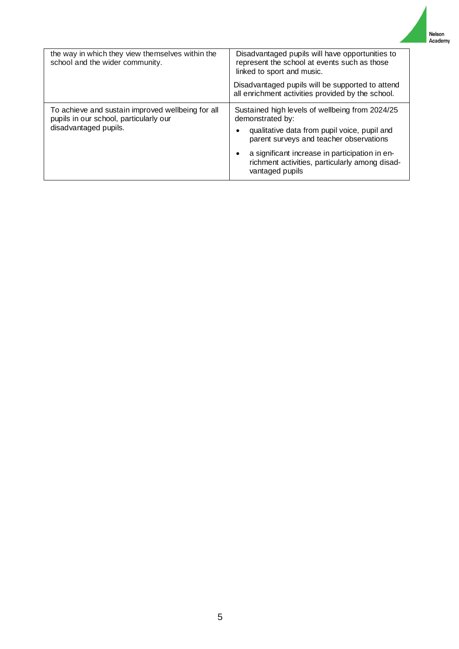| the way in which they view themselves within the<br>school and the wider community.                                  | Disadvantaged pupils will have opportunities to<br>represent the school at events such as those<br>linked to sport and music.                                                                                                                                                         |  |
|----------------------------------------------------------------------------------------------------------------------|---------------------------------------------------------------------------------------------------------------------------------------------------------------------------------------------------------------------------------------------------------------------------------------|--|
|                                                                                                                      | Disadvantaged pupils will be supported to attend<br>all enrichment activities provided by the school.                                                                                                                                                                                 |  |
| To achieve and sustain improved wellbeing for all<br>pupils in our school, particularly our<br>disadvantaged pupils. | Sustained high levels of wellbeing from 2024/25<br>demonstrated by:<br>qualitative data from pupil voice, pupil and<br>parent surveys and teacher observations<br>a significant increase in participation in en-<br>richment activities, particularly among disad-<br>vantaged pupils |  |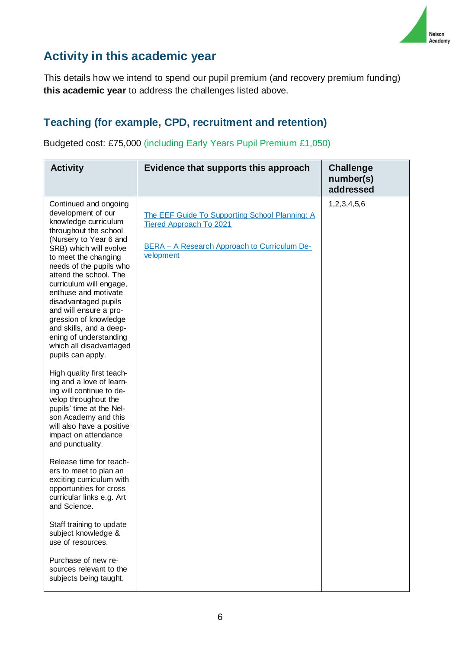

# **Activity in this academic year**

This details how we intend to spend our pupil premium (and recovery premium funding) **this academic year** to address the challenges listed above.

#### **Teaching (for example, CPD, recruitment and retention)**

Budgeted cost: £75,000 (including Early Years Pupil Premium £1,050)

| <b>Activity</b>                                                                                                                                                                                                                                                                                                                                                                                                                                                                                                                                                                                                                                                                                                                                                                                                                                                                                                                                                                                                         | Evidence that supports this approach                                                                                                          | <b>Challenge</b><br>number(s)<br>addressed |
|-------------------------------------------------------------------------------------------------------------------------------------------------------------------------------------------------------------------------------------------------------------------------------------------------------------------------------------------------------------------------------------------------------------------------------------------------------------------------------------------------------------------------------------------------------------------------------------------------------------------------------------------------------------------------------------------------------------------------------------------------------------------------------------------------------------------------------------------------------------------------------------------------------------------------------------------------------------------------------------------------------------------------|-----------------------------------------------------------------------------------------------------------------------------------------------|--------------------------------------------|
| Continued and ongoing<br>development of our<br>knowledge curriculum<br>throughout the school<br>(Nursery to Year 6 and<br>SRB) which will evolve<br>to meet the changing<br>needs of the pupils who<br>attend the school. The<br>curriculum will engage,<br>enthuse and motivate<br>disadvantaged pupils<br>and will ensure a pro-<br>gression of knowledge<br>and skills, and a deep-<br>ening of understanding<br>which all disadvantaged<br>pupils can apply.<br>High quality first teach-<br>ing and a love of learn-<br>ing will continue to de-<br>velop throughout the<br>pupils' time at the Nel-<br>son Academy and this<br>will also have a positive<br>impact on attendance<br>and punctuality.<br>Release time for teach-<br>ers to meet to plan an<br>exciting curriculum with<br>opportunities for cross<br>curricular links e.g. Art<br>and Science.<br>Staff training to update<br>subject knowledge &<br>use of resources.<br>Purchase of new re-<br>sources relevant to the<br>subjects being taught. | The EEF Guide To Supporting School Planning: A<br><b>Tiered Approach To 2021</b><br>BERA - A Research Approach to Curriculum De-<br>velopment | 1,2,3,4,5,6                                |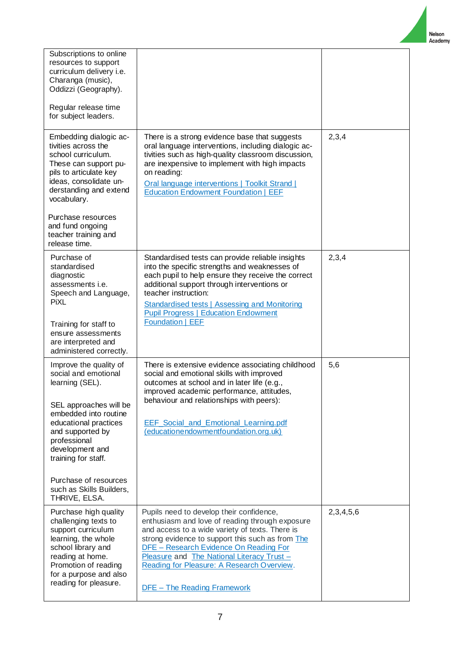Nelson Academy

| Subscriptions to online<br>resources to support<br>curriculum delivery i.e.<br>Charanga (music),<br>Oddizzi (Geography).<br>Regular release time<br>for subject leaders.                                                                                                                          |                                                                                                                                                                                                                                                                                                                                                                                       |           |
|---------------------------------------------------------------------------------------------------------------------------------------------------------------------------------------------------------------------------------------------------------------------------------------------------|---------------------------------------------------------------------------------------------------------------------------------------------------------------------------------------------------------------------------------------------------------------------------------------------------------------------------------------------------------------------------------------|-----------|
| Embedding dialogic ac-<br>tivities across the<br>school curriculum.<br>These can support pu-<br>pils to articulate key<br>ideas, consolidate un-<br>derstanding and extend<br>vocabulary.<br>Purchase resources<br>and fund ongoing<br>teacher training and<br>release time.                      | There is a strong evidence base that suggests<br>oral language interventions, including dialogic ac-<br>tivities such as high-quality classroom discussion,<br>are inexpensive to implement with high impacts<br>on reading:<br>Oral language interventions   Toolkit Strand  <br><b>Education Endowment Foundation   EEF</b>                                                         | 2,3,4     |
| Purchase of<br>standardised<br>diagnostic<br>assessments <i>i.e.</i><br>Speech and Language,<br>PiXL<br>Training for staff to<br>ensure assessments<br>are interpreted and<br>administered correctly.                                                                                             | Standardised tests can provide reliable insights<br>into the specific strengths and weaknesses of<br>each pupil to help ensure they receive the correct<br>additional support through interventions or<br>teacher instruction:<br><b>Standardised tests   Assessing and Monitoring</b><br><b>Pupil Progress   Education Endowment</b><br>Foundation   EEF                             | 2,3,4     |
| Improve the quality of<br>social and emotional<br>learning (SEL).<br>SEL approaches will be<br>embedded into routine<br>educational practices<br>and supported by<br>professional<br>development and<br>training for staff.<br>Purchase of resources<br>such as Skills Builders,<br>THRIVE, ELSA. | There is extensive evidence associating childhood<br>social and emotional skills with improved<br>outcomes at school and in later life (e.g.,<br>improved academic performance, attitudes<br>behaviour and relationships with peers):<br><b>EEF Social and Emotional Learning.pdf</b><br>(educationendowmentfoundation.org.uk)                                                        | 5,6       |
| Purchase high quality<br>challenging texts to<br>support curriculum<br>learning, the whole<br>school library and<br>reading at home.<br>Promotion of reading<br>for a purpose and also<br>reading for pleasure.                                                                                   | Pupils need to develop their confidence,<br>enthusiasm and love of reading through exposure<br>and access to a wide variety of texts. There is<br>strong evidence to support this such as from The<br><b>DFE</b> - Research Evidence On Reading For<br>Pleasure and The National Literacy Trust -<br>Reading for Pleasure: A Research Overview.<br><b>DFE</b> - The Reading Framework | 2,3,4,5,6 |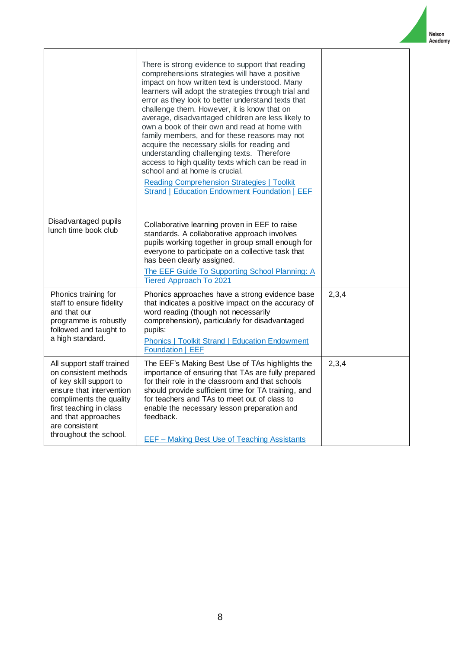|                                                                                                                                                                                                                                    | There is strong evidence to support that reading<br>comprehensions strategies will have a positive<br>impact on how written text is understood. Many<br>learners will adopt the strategies through trial and<br>error as they look to better understand texts that<br>challenge them. However, it is know that on<br>average, disadvantaged children are less likely to<br>own a book of their own and read at home with<br>family members, and for these reasons may not<br>acquire the necessary skills for reading and<br>understanding challenging texts. Therefore<br>access to high quality texts which can be read in<br>school and at home is crucial.<br><b>Reading Comprehension Strategies   Toolkit</b><br><b>Strand   Education Endowment Foundation   EEF</b> |       |
|------------------------------------------------------------------------------------------------------------------------------------------------------------------------------------------------------------------------------------|-----------------------------------------------------------------------------------------------------------------------------------------------------------------------------------------------------------------------------------------------------------------------------------------------------------------------------------------------------------------------------------------------------------------------------------------------------------------------------------------------------------------------------------------------------------------------------------------------------------------------------------------------------------------------------------------------------------------------------------------------------------------------------|-------|
| Disadvantaged pupils<br>lunch time book club                                                                                                                                                                                       | Collaborative learning proven in EEF to raise<br>standards. A collaborative approach involves<br>pupils working together in group small enough for<br>everyone to participate on a collective task that<br>has been clearly assigned.<br>The EEF Guide To Supporting School Planning: A<br><b>Tiered Approach To 2021</b>                                                                                                                                                                                                                                                                                                                                                                                                                                                   |       |
| Phonics training for<br>staff to ensure fidelity<br>and that our<br>programme is robustly<br>followed and taught to<br>a high standard.                                                                                            | Phonics approaches have a strong evidence base<br>that indicates a positive impact on the accuracy of<br>word reading (though not necessarily<br>comprehension), particularly for disadvantaged<br>pupils:<br><b>Phonics   Toolkit Strand   Education Endowment</b><br>Foundation   EEF                                                                                                                                                                                                                                                                                                                                                                                                                                                                                     | 2,3,4 |
| All support staff trained<br>on consistent methods<br>of key skill support to<br>ensure that intervention<br>compliments the quality<br>first teaching in class<br>and that approaches<br>are consistent<br>throughout the school. | The EEF's Making Best Use of TAs highlights the<br>importance of ensuring that TAs are fully prepared<br>for their role in the classroom and that schools<br>should provide sufficient time for TA training, and<br>for teachers and TAs to meet out of class to<br>enable the necessary lesson preparation and<br>feedback.<br><b>EEF - Making Best Use of Teaching Assistants</b>                                                                                                                                                                                                                                                                                                                                                                                         | 2,3,4 |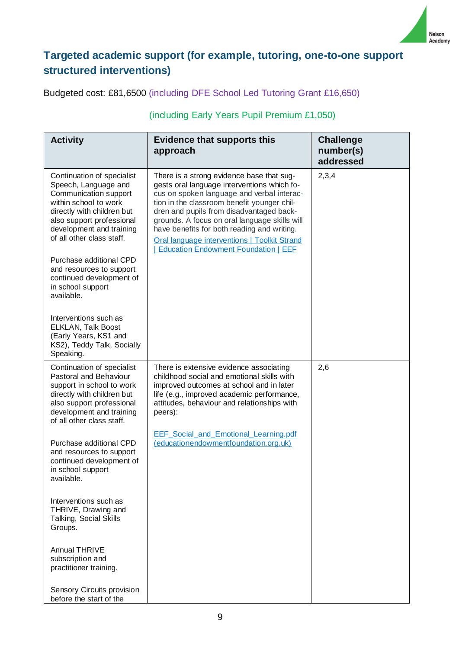

### **Targeted academic support (for example, tutoring, one-to-one support structured interventions)**

Budgeted cost: £81,6500 (including DFE School Led Tutoring Grant £16,650)

#### **Activity Evidence that supports this approach Challenge number(s) addressed** Continuation of specialist Speech, Language and Communication support within school to work directly with children but also support professional development and training of all other class staff. Purchase additional CPD and resources to support continued development of in school support available. Interventions such as ELKLAN, Talk Boost (Early Years, KS1 and KS2), Teddy Talk, Socially Speaking. There is a strong evidence base that suggests oral language interventions which focus on spoken language and verbal interaction in the classroom benefit younger children and pupils from disadvantaged backgrounds. A focus on oral language skills will have benefits for both reading and writing. [Oral language interventions | Toolkit Strand](https://educationendowmentfoundation.org.uk/evidence-summaries/teaching-learning-toolkit/oral-language-interventions/)  [| Education Endowment Foundation | EEF](https://educationendowmentfoundation.org.uk/evidence-summaries/teaching-learning-toolkit/oral-language-interventions/) 2,3,4 Continuation of specialist Pastoral and Behaviour support in school to work directly with children but also support professional development and training of all other class staff. Purchase additional CPD and resources to support continued development of in school support available. Interventions such as THRIVE, Drawing and Talking, Social Skills Groups. Annual THRIVE There is extensive evidence associating childhood social and emotional skills with improved outcomes at school and in later life (e.g., improved academic performance, attitudes, behaviour and relationships with peers): EEF\_Social\_and\_Emotional\_Learning.pdf [\(educationendowmentfoundation.org.uk\)](https://educationendowmentfoundation.org.uk/public/files/Publications/SEL/EEF_Social_and_Emotional_Learning.pdf) 2,6

#### (including Early Years Pupil Premium £1,050)

subscription and practitioner training.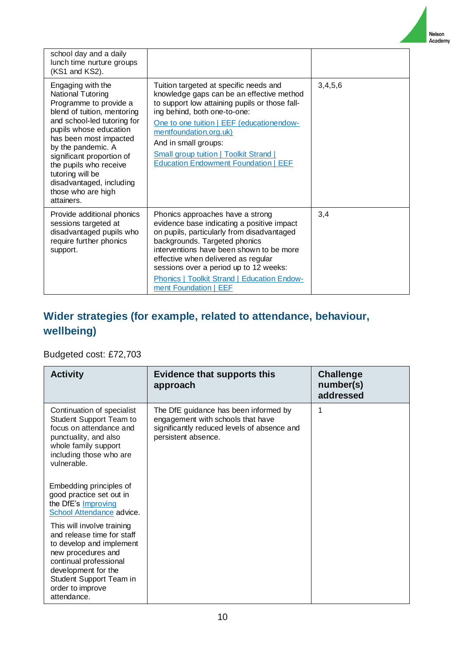Nelson Academy

| school day and a daily<br>lunch time nurture groups<br>(KS1 and KS2).                                                                                                                                                                                                                                                                               |                                                                                                                                                                                                                                                                                                                                                                           |         |
|-----------------------------------------------------------------------------------------------------------------------------------------------------------------------------------------------------------------------------------------------------------------------------------------------------------------------------------------------------|---------------------------------------------------------------------------------------------------------------------------------------------------------------------------------------------------------------------------------------------------------------------------------------------------------------------------------------------------------------------------|---------|
| Engaging with the<br>National Tutoring<br>Programme to provide a<br>blend of tuition, mentoring<br>and school-led tutoring for<br>pupils whose education<br>has been most impacted<br>by the pandemic. A<br>significant proportion of<br>the pupils who receive<br>tutoring will be<br>disadvantaged, including<br>those who are high<br>attainers. | Tuition targeted at specific needs and<br>knowledge gaps can be an effective method<br>to support low attaining pupils or those fall-<br>ing behind, both one-to-one:<br>One to one tuition   EEF (educationendow-<br>mentfoundation.org.uk)<br>And in small groups:<br><b>Small group tuition   Toolkit Strand  </b><br><b>Education Endowment Foundation   EEF</b>      | 3,4,5,6 |
| Provide additional phonics<br>sessions targeted at<br>disadvantaged pupils who<br>require further phonics<br>support.                                                                                                                                                                                                                               | Phonics approaches have a strong<br>evidence base indicating a positive impact<br>on pupils, particularly from disadvantaged<br>backgrounds. Targeted phonics<br>interventions have been shown to be more<br>effective when delivered as regular<br>sessions over a period up to 12 weeks:<br><b>Phonics   Toolkit Strand   Education Endow-</b><br>ment Foundation   EEF | 3,4     |

# **Wider strategies (for example, related to attendance, behaviour, wellbeing)**

## Budgeted cost: £72,703

| <b>Activity</b>                                                                                                                                                                                                           | <b>Evidence that supports this</b><br>approach                                                                                                   | <b>Challenge</b><br>number(s)<br>addressed |
|---------------------------------------------------------------------------------------------------------------------------------------------------------------------------------------------------------------------------|--------------------------------------------------------------------------------------------------------------------------------------------------|--------------------------------------------|
| Continuation of specialist<br><b>Student Support Team to</b><br>focus on attendance and<br>punctuality, and also<br>whole family support<br>including those who are<br>vulnerable.                                        | The DfE guidance has been informed by<br>engagement with schools that have<br>significantly reduced levels of absence and<br>persistent absence. | 1                                          |
| Embedding principles of<br>good practice set out in<br>the DfE's Improving<br>School Attendance advice.                                                                                                                   |                                                                                                                                                  |                                            |
| This will involve training<br>and release time for staff<br>to develop and implement<br>new procedures and<br>continual professional<br>development for the<br>Student Support Team in<br>order to improve<br>attendance. |                                                                                                                                                  |                                            |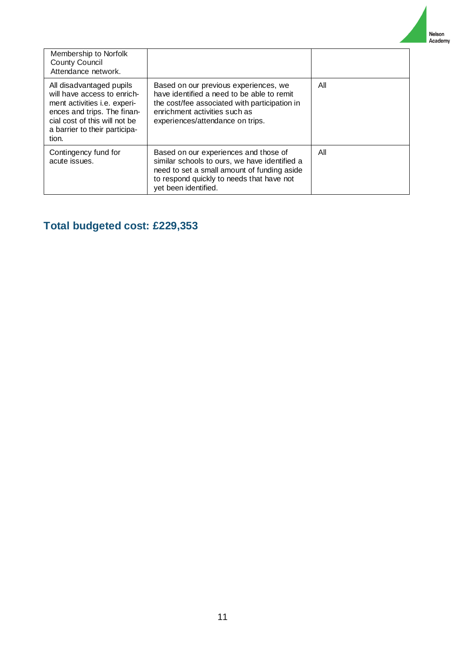Nelson<br>Academy

| Membership to Norfolk<br><b>County Council</b><br>Attendance network.                                                                                                                                    |                                                                                                                                                                                                            |     |
|----------------------------------------------------------------------------------------------------------------------------------------------------------------------------------------------------------|------------------------------------------------------------------------------------------------------------------------------------------------------------------------------------------------------------|-----|
| All disadvantaged pupils<br>will have access to enrich-<br>ment activities <i>i.e.</i> experi-<br>ences and trips. The finan-<br>cial cost of this will not be<br>a barrier to their participa-<br>tion. | Based on our previous experiences, we<br>have identified a need to be able to remit<br>the cost/fee associated with participation in<br>enrichment activities such as<br>experiences/attendance on trips.  | All |
| Contingency fund for<br>acute issues.                                                                                                                                                                    | Based on our experiences and those of<br>similar schools to ours, we have identified a<br>need to set a small amount of funding aside<br>to respond quickly to needs that have not<br>yet been identified. | All |

# **Total budgeted cost: £229,353**